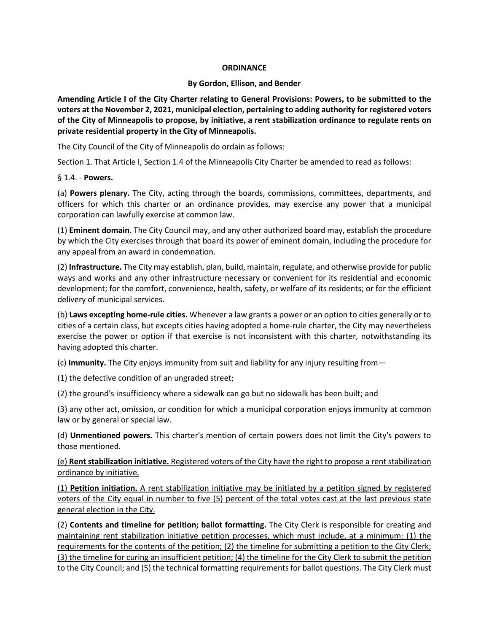## **ORDINANCE**

## **By Gordon, Ellison, and Bender**

**Amending Article I of the City Charter relating to General Provisions: Powers, to be submitted to the voters at the November 2, 2021, municipal election, pertaining to adding authority for registered voters of the City of Minneapolis to propose, by initiative, a rent stabilization ordinance to regulate rents on private residential property in the City of Minneapolis.**

The City Council of the City of Minneapolis do ordain as follows:

Section 1. That Article I, Section 1.4 of the Minneapolis City Charter be amended to read as follows:

## § 1.4. - **Powers.**

(a) **Powers plenary.** The City, acting through the boards, commissions, committees, departments, and officers for which this charter or an ordinance provides, may exercise any power that a municipal corporation can lawfully exercise at common law.

(1) **Eminent domain.** The City Council may, and any other authorized board may, establish the procedure by which the City exercises through that board its power of eminent domain, including the procedure for any appeal from an award in condemnation.

(2) **Infrastructure.** The City may establish, plan, build, maintain, regulate, and otherwise provide for public ways and works and any other infrastructure necessary or convenient for its residential and economic development; for the comfort, convenience, health, safety, or welfare of its residents; or for the efficient delivery of municipal services.

(b) **Laws excepting home-rule cities.** Whenever a law grants a power or an option to cities generally or to cities of a certain class, but excepts cities having adopted a home-rule charter, the City may nevertheless exercise the power or option if that exercise is not inconsistent with this charter, notwithstanding its having adopted this charter.

(c) **Immunity.** The City enjoys immunity from suit and liability for any injury resulting from—

(1) the defective condition of an ungraded street;

(2) the ground's insufficiency where a sidewalk can go but no sidewalk has been built; and

(3) any other act, omission, or condition for which a municipal corporation enjoys immunity at common law or by general or special law.

(d) **Unmentioned powers.** This charter's mention of certain powers does not limit the City's powers to those mentioned.

(e) **Rent stabilization initiative.** Registered voters of the City have the right to propose a rent stabilization ordinance by initiative.

(1) **Petition initiation.** A rent stabilization initiative may be initiated by a petition signed by registered voters of the City equal in number to five (5) percent of the total votes cast at the last previous state general election in the City.

(2) **Contents and timeline for petition; ballot formatting.** The City Clerk is responsible for creating and maintaining rent stabilization initiative petition processes, which must include, at a minimum: (1) the requirements for the contents of the petition; (2) the timeline for submitting a petition to the City Clerk; (3) the timeline for curing an insufficient petition; (4) the timeline for the City Clerk to submit the petition to the City Council; and (5) the technical formatting requirements for ballot questions. The City Clerk must